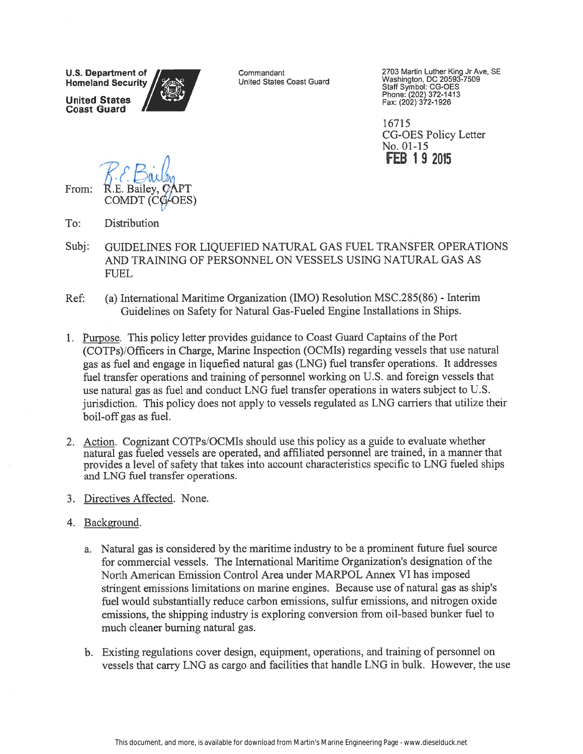**U.S. Department of Homeland Security United States** 

**Coast Guard** 

Commandant United States Coast Guard 2703 Martin Luther King Jr Ave, SE<br>Washington, DC 20593-7509<br>Staff Symbol: CG-OES<br>Phone: (202) 372-1413<br>Fax: (202) 372-1926

16715 **CG-OES Policy Letter** No. 01-15 **FEB 19 2015** 

From:

- $To:$ Distribution
- Subj: GUIDELINES FOR LIQUEFIED NATURAL GAS FUEL TRANSFER OPERATIONS AND TRAINING OF PERSONNEL ON VESSELS USING NATURAL GAS AS **FUEL**
- (a) International Maritime Organization (IMO) Resolution MSC.285(86) Interim Ref: Guidelines on Safety for Natural Gas-Fueled Engine Installations in Ships.
- 1. Purpose. This policy letter provides guidance to Coast Guard Captains of the Port (COTPs)/Officers in Charge, Marine Inspection (OCMIs) regarding vessels that use natural gas as fuel and engage in liquefied natural gas (LNG) fuel transfer operations. It addresses fuel transfer operations and training of personnel working on U.S. and foreign vessels that use natural gas as fuel and conduct LNG fuel transfer operations in waters subject to U.S. jurisdiction. This policy does not apply to vessels regulated as LNG carriers that utilize their boil-off gas as fuel.
- 2. Action. Cognizant COTPs/OCMIs should use this policy as a guide to evaluate whether natural gas fueled vessels are operated, and affiliated personnel are trained, in a manner that provides a level of safety that takes into account characteristics specific to LNG fueled ships and LNG fuel transfer operations.
- 3. Directives Affected. None.
- 4. Background.
	- a. Natural gas is considered by the maritime industry to be a prominent future fuel source for commercial vessels. The International Maritime Organization's designation of the North American Emission Control Area under MARPOL Annex VI has imposed stringent emissions limitations on marine engines. Because use of natural gas as ship's fuel would substantially reduce carbon emissions, sulfur emissions, and nitrogen oxide emissions, the shipping industry is exploring conversion from oil-based bunker fuel to much cleaner burning natural gas.
	- b. Existing regulations cover design, equipment, operations, and training of personnel on vessels that carry LNG as cargo and facilities that handle LNG in bulk. However, the use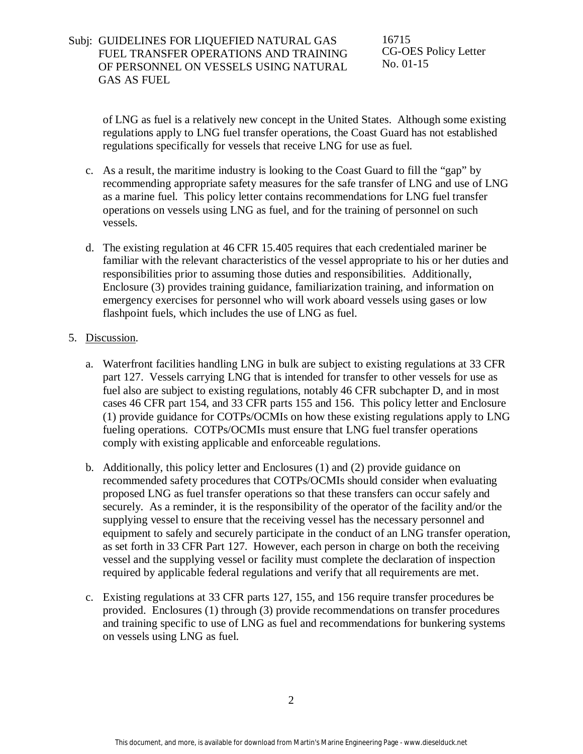### Subj: GUIDELINES FOR LIQUEFIED NATURAL GAS FUEL TRANSFER OPERATIONS AND TRAINING OF PERSONNEL ON VESSELS USING NATURAL GAS AS FUEL

16715 CG-OES Policy Letter No. 01-15

of LNG as fuel is a relatively new concept in the United States. Although some existing regulations apply to LNG fuel transfer operations, the Coast Guard has not established regulations specifically for vessels that receive LNG for use as fuel.

- c. As a result, the maritime industry is looking to the Coast Guard to fill the "gap" by recommending appropriate safety measures for the safe transfer of LNG and use of LNG as a marine fuel. This policy letter contains recommendations for LNG fuel transfer operations on vessels using LNG as fuel, and for the training of personnel on such vessels.
- d. The existing regulation at 46 CFR 15.405 requires that each credentialed mariner be familiar with the relevant characteristics of the vessel appropriate to his or her duties and responsibilities prior to assuming those duties and responsibilities. Additionally, Enclosure (3) provides training guidance, familiarization training, and information on emergency exercises for personnel who will work aboard vessels using gases or low flashpoint fuels, which includes the use of LNG as fuel.

#### 5. Discussion.

- a. Waterfront facilities handling LNG in bulk are subject to existing regulations at 33 CFR part 127. Vessels carrying LNG that is intended for transfer to other vessels for use as fuel also are subject to existing regulations, notably 46 CFR subchapter D, and in most cases 46 CFR part 154, and 33 CFR parts 155 and 156. This policy letter and Enclosure (1) provide guidance for COTPs/OCMIs on how these existing regulations apply to LNG fueling operations. COTPs/OCMIs must ensure that LNG fuel transfer operations comply with existing applicable and enforceable regulations.
- b. Additionally, this policy letter and Enclosures (1) and (2) provide guidance on recommended safety procedures that COTPs/OCMIs should consider when evaluating proposed LNG as fuel transfer operations so that these transfers can occur safely and securely. As a reminder, it is the responsibility of the operator of the facility and/or the supplying vessel to ensure that the receiving vessel has the necessary personnel and equipment to safely and securely participate in the conduct of an LNG transfer operation, as set forth in 33 CFR Part 127. However, each person in charge on both the receiving vessel and the supplying vessel or facility must complete the declaration of inspection required by applicable federal regulations and verify that all requirements are met.
- c. Existing regulations at 33 CFR parts 127, 155, and 156 require transfer procedures be provided. Enclosures (1) through (3) provide recommendations on transfer procedures and training specific to use of LNG as fuel and recommendations for bunkering systems on vessels using LNG as fuel.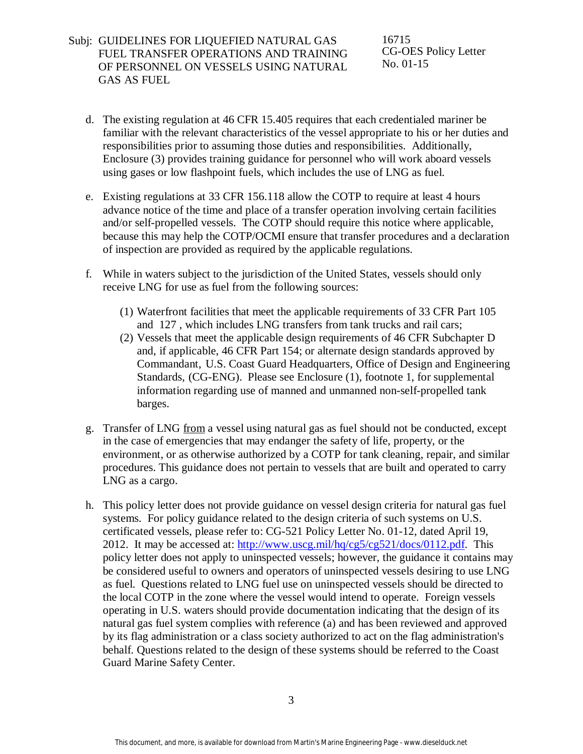### Subj: GUIDELINES FOR LIQUEFIED NATURAL GAS FUEL TRANSFER OPERATIONS AND TRAINING OF PERSONNEL ON VESSELS USING NATURAL GAS AS FUEL

16715 CG-OES Policy Letter No. 01-15

- d. The existing regulation at 46 CFR 15.405 requires that each credentialed mariner be familiar with the relevant characteristics of the vessel appropriate to his or her duties and responsibilities prior to assuming those duties and responsibilities. Additionally, Enclosure (3) provides training guidance for personnel who will work aboard vessels using gases or low flashpoint fuels, which includes the use of LNG as fuel.
- e. Existing regulations at 33 CFR 156.118 allow the COTP to require at least 4 hours advance notice of the time and place of a transfer operation involving certain facilities and/or self-propelled vessels. The COTP should require this notice where applicable, because this may help the COTP/OCMI ensure that transfer procedures and a declaration of inspection are provided as required by the applicable regulations.
- f. While in waters subject to the jurisdiction of the United States, vessels should only receive LNG for use as fuel from the following sources:
	- (1) Waterfront facilities that meet the applicable requirements of 33 CFR Part 105 and 127 , which includes LNG transfers from tank trucks and rail cars;
	- (2) Vessels that meet the applicable design requirements of 46 CFR Subchapter D and, if applicable, 46 CFR Part 154; or alternate design standards approved by Commandant, U.S. Coast Guard Headquarters, Office of Design and Engineering Standards, (CG-ENG). Please see Enclosure (1), footnote 1, for supplemental information regarding use of manned and unmanned non-self-propelled tank barges.
- g. Transfer of LNG from a vessel using natural gas as fuel should not be conducted, except in the case of emergencies that may endanger the safety of life, property, or the environment, or as otherwise authorized by a COTP for tank cleaning, repair, and similar procedures. This guidance does not pertain to vessels that are built and operated to carry LNG as a cargo.
- h. This policy letter does not provide guidance on vessel design criteria for natural gas fuel systems. For policy guidance related to the design criteria of such systems on U.S. certificated vessels, please refer to: CG-521 Policy Letter No. 01-12, dated April 19, 2012. It may be accessed at: [http://www.uscg.mil/hq/cg5/cg521/docs/0112.pdf.](http://www.uscg.mil/hq/cg5/cg521/docs/0112.pdf) This policy letter does not apply to uninspected vessels; however, the guidance it contains may be considered useful to owners and operators of uninspected vessels desiring to use LNG as fuel. Questions related to LNG fuel use on uninspected vessels should be directed to the local COTP in the zone where the vessel would intend to operate. Foreign vessels operating in U.S. waters should provide documentation indicating that the design of its natural gas fuel system complies with reference (a) and has been reviewed and approved by its flag administration or a class society authorized to act on the flag administration's behalf. Questions related to the design of these systems should be referred to the Coast Guard Marine Safety Center.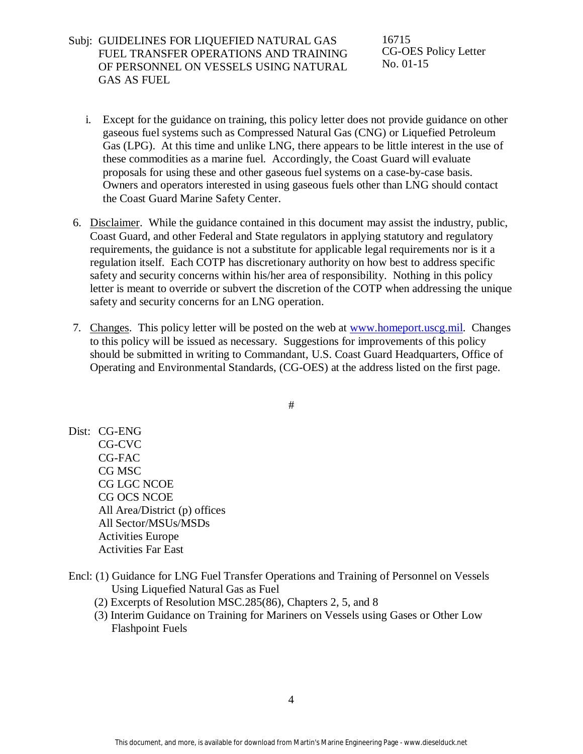Subj: GUIDELINES FOR LIQUEFIED NATURAL GAS FUEL TRANSFER OPERATIONS AND TRAINING OF PERSONNEL ON VESSELS USING NATURAL GAS AS FUEL

16715 CG-OES Policy Letter No. 01-15

- i. Except for the guidance on training, this policy letter does not provide guidance on other gaseous fuel systems such as Compressed Natural Gas (CNG) or Liquefied Petroleum Gas (LPG). At this time and unlike LNG, there appears to be little interest in the use of these commodities as a marine fuel. Accordingly, the Coast Guard will evaluate proposals for using these and other gaseous fuel systems on a case-by-case basis. Owners and operators interested in using gaseous fuels other than LNG should contact the Coast Guard Marine Safety Center.
- 6. Disclaimer. While the guidance contained in this document may assist the industry, public, Coast Guard, and other Federal and State regulators in applying statutory and regulatory requirements, the guidance is not a substitute for applicable legal requirements nor is it a regulation itself. Each COTP has discretionary authority on how best to address specific safety and security concerns within his/her area of responsibility. Nothing in this policy letter is meant to override or subvert the discretion of the COTP when addressing the unique safety and security concerns for an LNG operation.
- 7. Changes. This policy letter will be posted on the web at [www.homeport.uscg.mil.](http://www.homeport.uscg.mil/) Changes to this policy will be issued as necessary. Suggestions for improvements of this policy should be submitted in writing to Commandant, U.S. Coast Guard Headquarters, Office of Operating and Environmental Standards, (CG-OES) at the address listed on the first page.

#

- Dist: CG-ENG CG-CVC CG-FAC CG MSC CG LGC NCOE CG OCS NCOE All Area/District (p) offices All Sector/MSUs/MSDs Activities Europe Activities Far East
- Encl: (1) Guidance for LNG Fuel Transfer Operations and Training of Personnel on Vessels Using Liquefied Natural Gas as Fuel
	- (2) Excerpts of Resolution MSC.285(86), Chapters 2, 5, and 8
	- (3) Interim Guidance on Training for Mariners on Vessels using Gases or Other Low Flashpoint Fuels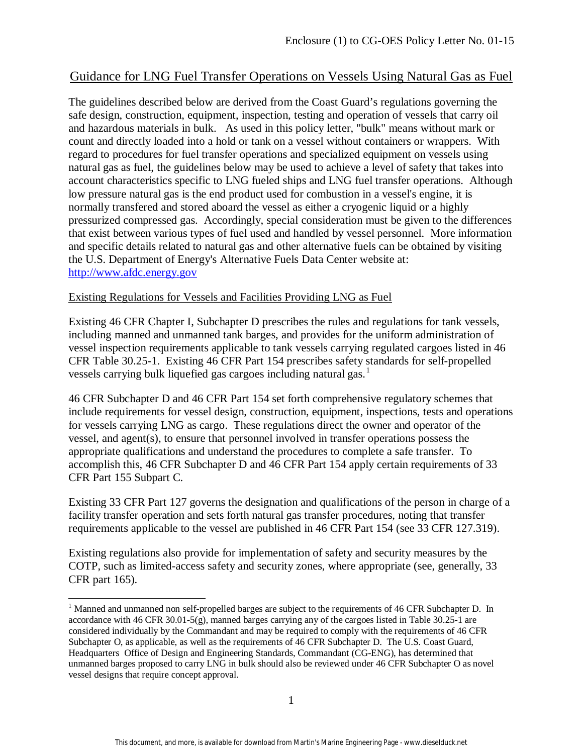# Guidance for LNG Fuel Transfer Operations on Vessels Using Natural Gas as Fuel

The guidelines described below are derived from the Coast Guard's regulations governing the safe design, construction, equipment, inspection, testing and operation of vessels that carry oil and hazardous materials in bulk. As used in this policy letter, "bulk" means without mark or count and directly loaded into a hold or tank on a vessel without containers or wrappers. With regard to procedures for fuel transfer operations and specialized equipment on vessels using natural gas as fuel, the guidelines below may be used to achieve a level of safety that takes into account characteristics specific to LNG fueled ships and LNG fuel transfer operations. Although low pressure natural gas is the end product used for combustion in a vessel's engine, it is normally transfered and stored aboard the vessel as either a cryogenic liquid or a highly pressurized compressed gas. Accordingly, special consideration must be given to the differences that exist between various types of fuel used and handled by vessel personnel. More information and specific details related to natural gas and other alternative fuels can be obtained by visiting the U.S. Department of Energy's Alternative Fuels Data Center website at: [http://www.afdc.energy.gov](http://www.afdc.energy.gov/)

### Existing Regulations for Vessels and Facilities Providing LNG as Fuel

Existing 46 CFR Chapter I, Subchapter D prescribes the rules and regulations for tank vessels, including manned and unmanned tank barges, and provides for the uniform administration of vessel inspection requirements applicable to tank vessels carrying regulated cargoes listed in 46 CFR Table 30.25-1. Existing 46 CFR Part 154 prescribes safety standards for self-propelled vessels carrying bulk liquefied gas cargoes including natural gas. [1](#page-4-0)

46 CFR Subchapter D and 46 CFR Part 154 set forth comprehensive regulatory schemes that include requirements for vessel design, construction, equipment, inspections, tests and operations for vessels carrying LNG as cargo. These regulations direct the owner and operator of the vessel, and agent(s), to ensure that personnel involved in transfer operations possess the appropriate qualifications and understand the procedures to complete a safe transfer. To accomplish this, 46 CFR Subchapter D and 46 CFR Part 154 apply certain requirements of 33 CFR Part 155 Subpart C.

Existing 33 CFR Part 127 governs the designation and qualifications of the person in charge of a facility transfer operation and sets forth natural gas transfer procedures, noting that transfer requirements applicable to the vessel are published in 46 CFR Part 154 (see 33 CFR 127.319).

Existing regulations also provide for implementation of safety and security measures by the COTP, such as limited-access safety and security zones, where appropriate (see, generally, 33 CFR part 165).

 $\overline{a}$ 

<span id="page-4-0"></span><sup>&</sup>lt;sup>1</sup> Manned and unmanned non self-propelled barges are subject to the requirements of 46 CFR Subchapter D. In accordance with 46 CFR 30.01-5(g), manned barges carrying any of the cargoes listed in Table  $30.25$ -1 are considered individually by the Commandant and may be required to comply with the requirements of 46 CFR Subchapter O, as applicable, as well as the requirements of 46 CFR Subchapter D. The U.S. Coast Guard, Headquarters Office of Design and Engineering Standards, Commandant (CG-ENG), has determined that unmanned barges proposed to carry LNG in bulk should also be reviewed under 46 CFR Subchapter O as novel vessel designs that require concept approval.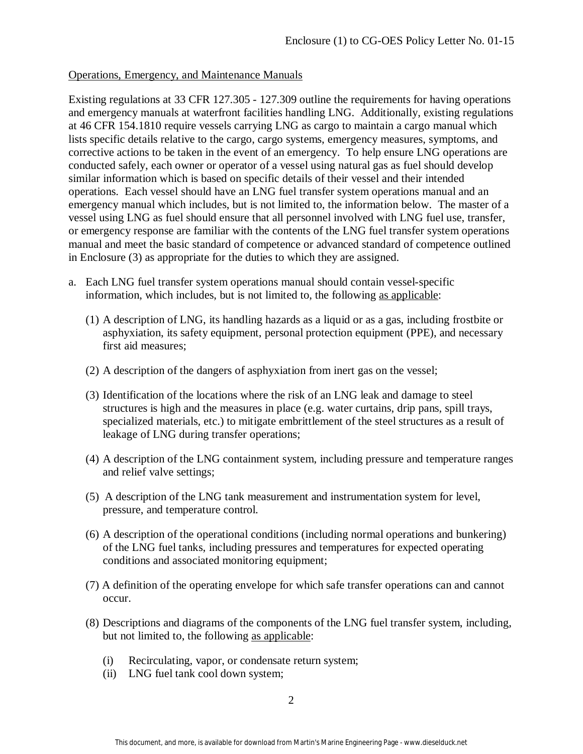#### Operations, Emergency, and Maintenance Manuals

Existing regulations at 33 CFR 127.305 - 127.309 outline the requirements for having operations and emergency manuals at waterfront facilities handling LNG. Additionally, existing regulations at 46 CFR 154.1810 require vessels carrying LNG as cargo to maintain a cargo manual which lists specific details relative to the cargo, cargo systems, emergency measures, symptoms, and corrective actions to be taken in the event of an emergency. To help ensure LNG operations are conducted safely, each owner or operator of a vessel using natural gas as fuel should develop similar information which is based on specific details of their vessel and their intended operations. Each vessel should have an LNG fuel transfer system operations manual and an emergency manual which includes, but is not limited to, the information below. The master of a vessel using LNG as fuel should ensure that all personnel involved with LNG fuel use, transfer, or emergency response are familiar with the contents of the LNG fuel transfer system operations manual and meet the basic standard of competence or advanced standard of competence outlined in Enclosure (3) as appropriate for the duties to which they are assigned.

- a. Each LNG fuel transfer system operations manual should contain vessel-specific information, which includes, but is not limited to, the following as applicable:
	- (1) A description of LNG, its handling hazards as a liquid or as a gas, including frostbite or asphyxiation, its safety equipment, personal protection equipment (PPE), and necessary first aid measures;
	- (2) A description of the dangers of asphyxiation from inert gas on the vessel;
	- (3) Identification of the locations where the risk of an LNG leak and damage to steel structures is high and the measures in place (e.g. water curtains, drip pans, spill trays, specialized materials, etc.) to mitigate embrittlement of the steel structures as a result of leakage of LNG during transfer operations;
	- (4) A description of the LNG containment system, including pressure and temperature ranges and relief valve settings;
	- (5) A description of the LNG tank measurement and instrumentation system for level, pressure, and temperature control.
	- (6) A description of the operational conditions (including normal operations and bunkering) of the LNG fuel tanks, including pressures and temperatures for expected operating conditions and associated monitoring equipment;
	- (7) A definition of the operating envelope for which safe transfer operations can and cannot occur.
	- (8) Descriptions and diagrams of the components of the LNG fuel transfer system, including, but not limited to, the following as applicable:
		- (i) Recirculating, vapor, or condensate return system;
		- (ii) LNG fuel tank cool down system;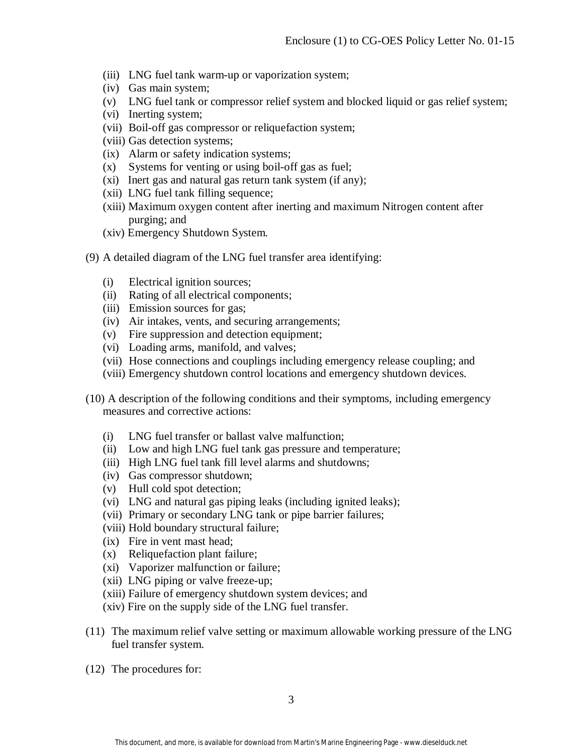- (iii) LNG fuel tank warm-up or vaporization system;
- (iv) Gas main system;
- (v) LNG fuel tank or compressor relief system and blocked liquid or gas relief system;
- (vi) Inerting system;
- (vii) Boil-off gas compressor or reliquefaction system;
- (viii) Gas detection systems;
- (ix) Alarm or safety indication systems;
- (x) Systems for venting or using boil-off gas as fuel;
- (xi) Inert gas and natural gas return tank system (if any);
- (xii) LNG fuel tank filling sequence;
- (xiii) Maximum oxygen content after inerting and maximum Nitrogen content after purging; and
- (xiv) Emergency Shutdown System.
- (9) A detailed diagram of the LNG fuel transfer area identifying:
	- (i) Electrical ignition sources;
	- (ii) Rating of all electrical components;
	- (iii) Emission sources for gas;
	- (iv) Air intakes, vents, and securing arrangements;
	- (v) Fire suppression and detection equipment;
	- (vi) Loading arms, manifold, and valves;
	- (vii) Hose connections and couplings including emergency release coupling; and
	- (viii) Emergency shutdown control locations and emergency shutdown devices.
- (10) A description of the following conditions and their symptoms, including emergency measures and corrective actions:
	- (i) LNG fuel transfer or ballast valve malfunction;
	- (ii) Low and high LNG fuel tank gas pressure and temperature;
	- (iii) High LNG fuel tank fill level alarms and shutdowns;
	- (iv) Gas compressor shutdown;
	- (v) Hull cold spot detection;
	- (vi) LNG and natural gas piping leaks (including ignited leaks);
	- (vii) Primary or secondary LNG tank or pipe barrier failures;
	- (viii) Hold boundary structural failure;
	- (ix) Fire in vent mast head;
	- (x) Reliquefaction plant failure;
	- (xi) Vaporizer malfunction or failure;
	- (xii) LNG piping or valve freeze-up;
	- (xiii) Failure of emergency shutdown system devices; and
	- (xiv) Fire on the supply side of the LNG fuel transfer.
- (11) The maximum relief valve setting or maximum allowable working pressure of the LNG fuel transfer system.
- (12) The procedures for: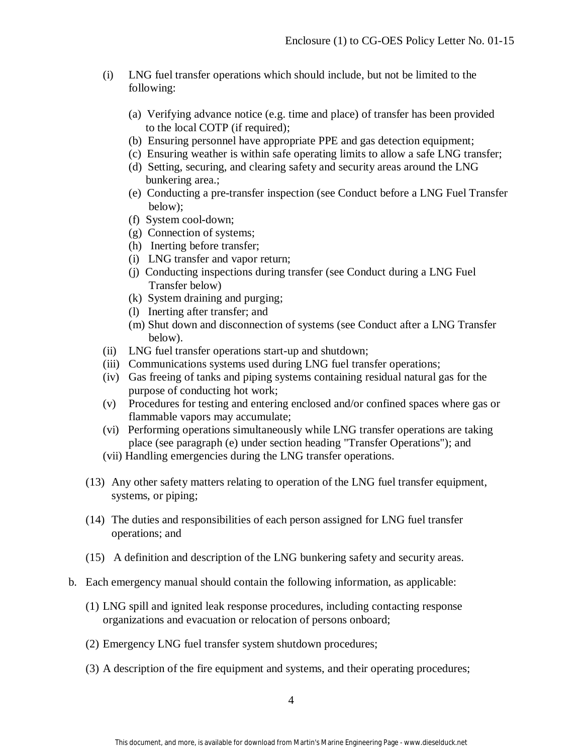- (i) LNG fuel transfer operations which should include, but not be limited to the following:
	- (a) Verifying advance notice (e.g. time and place) of transfer has been provided to the local COTP (if required);
	- (b) Ensuring personnel have appropriate PPE and gas detection equipment;
	- (c) Ensuring weather is within safe operating limits to allow a safe LNG transfer;
	- (d) Setting, securing, and clearing safety and security areas around the LNG bunkering area.;
	- (e) Conducting a pre-transfer inspection (see Conduct before a LNG Fuel Transfer below);
	- (f) System cool-down;
	- (g) Connection of systems;
	- (h) Inerting before transfer;
	- (i) LNG transfer and vapor return;
	- (j) Conducting inspections during transfer (see Conduct during a LNG Fuel Transfer below)
	- (k) System draining and purging;
	- (l) Inerting after transfer; and
	- (m) Shut down and disconnection of systems (see Conduct after a LNG Transfer below).
- (ii) LNG fuel transfer operations start-up and shutdown;
- (iii) Communications systems used during LNG fuel transfer operations;
- (iv) Gas freeing of tanks and piping systems containing residual natural gas for the purpose of conducting hot work;
- (v) Procedures for testing and entering enclosed and/or confined spaces where gas or flammable vapors may accumulate;
- (vi) Performing operations simultaneously while LNG transfer operations are taking place (see paragraph (e) under section heading "Transfer Operations"); and
- (vii) Handling emergencies during the LNG transfer operations.
- (13) Any other safety matters relating to operation of the LNG fuel transfer equipment, systems, or piping;
- (14) The duties and responsibilities of each person assigned for LNG fuel transfer operations; and
- (15) A definition and description of the LNG bunkering safety and security areas.
- b. Each emergency manual should contain the following information, as applicable:
	- (1) LNG spill and ignited leak response procedures, including contacting response organizations and evacuation or relocation of persons onboard;
	- (2) Emergency LNG fuel transfer system shutdown procedures;
	- (3) A description of the fire equipment and systems, and their operating procedures;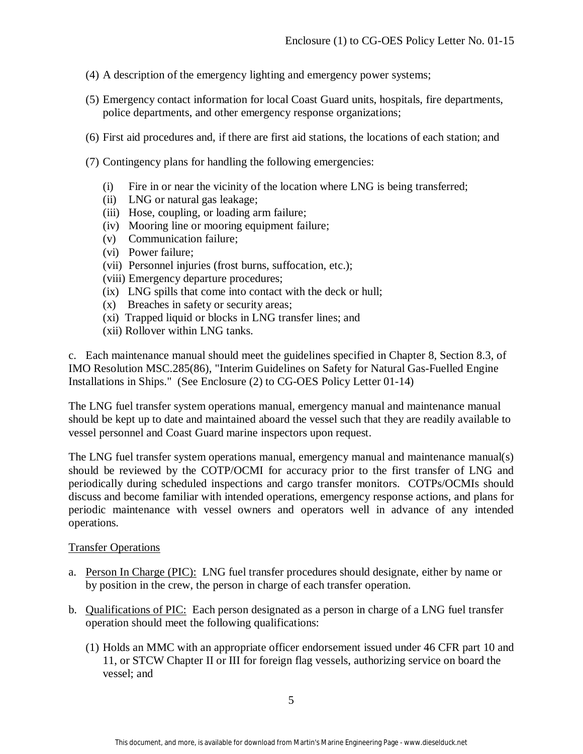- (4) A description of the emergency lighting and emergency power systems;
- (5) Emergency contact information for local Coast Guard units, hospitals, fire departments, police departments, and other emergency response organizations;
- (6) First aid procedures and, if there are first aid stations, the locations of each station; and
- (7) Contingency plans for handling the following emergencies:
	- (i) Fire in or near the vicinity of the location where LNG is being transferred;
	- (ii) LNG or natural gas leakage;
	- (iii) Hose, coupling, or loading arm failure;
	- (iv) Mooring line or mooring equipment failure;
	- (v) Communication failure;
	- (vi) Power failure;
	- (vii) Personnel injuries (frost burns, suffocation, etc.);
	- (viii) Emergency departure procedures;
	- (ix) LNG spills that come into contact with the deck or hull;
	- (x) Breaches in safety or security areas;
	- (xi) Trapped liquid or blocks in LNG transfer lines; and
	- (xii) Rollover within LNG tanks.

c. Each maintenance manual should meet the guidelines specified in Chapter 8, Section 8.3, of IMO Resolution MSC.285(86), "Interim Guidelines on Safety for Natural Gas-Fuelled Engine Installations in Ships." (See Enclosure (2) to CG-OES Policy Letter 01-14)

The LNG fuel transfer system operations manual, emergency manual and maintenance manual should be kept up to date and maintained aboard the vessel such that they are readily available to vessel personnel and Coast Guard marine inspectors upon request.

The LNG fuel transfer system operations manual, emergency manual and maintenance manual(s) should be reviewed by the COTP/OCMI for accuracy prior to the first transfer of LNG and periodically during scheduled inspections and cargo transfer monitors. COTPs/OCMIs should discuss and become familiar with intended operations, emergency response actions, and plans for periodic maintenance with vessel owners and operators well in advance of any intended operations.

#### Transfer Operations

- a. Person In Charge (PIC): LNG fuel transfer procedures should designate, either by name or by position in the crew, the person in charge of each transfer operation.
- b. Qualifications of PIC: Each person designated as a person in charge of a LNG fuel transfer operation should meet the following qualifications:
	- (1) Holds an MMC with an appropriate officer endorsement issued under 46 CFR part 10 and 11, or STCW Chapter II or III for foreign flag vessels, authorizing service on board the vessel; and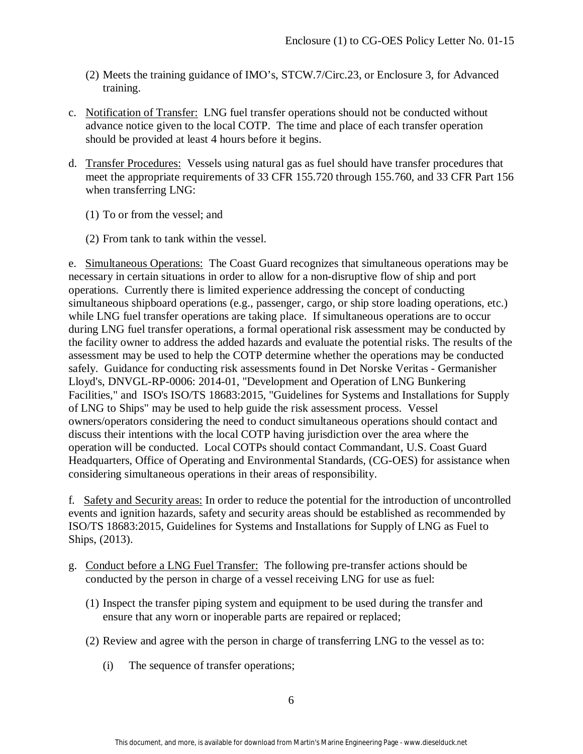- (2) Meets the training guidance of IMO's, STCW.7/Circ.23, or Enclosure 3, for Advanced training.
- c. Notification of Transfer: LNG fuel transfer operations should not be conducted without advance notice given to the local COTP. The time and place of each transfer operation should be provided at least 4 hours before it begins.
- d. Transfer Procedures: Vessels using natural gas as fuel should have transfer procedures that meet the appropriate requirements of 33 CFR 155.720 through 155.760, and 33 CFR Part 156 when transferring LNG:
	- (1) To or from the vessel; and
	- (2) From tank to tank within the vessel.

e. Simultaneous Operations: The Coast Guard recognizes that simultaneous operations may be necessary in certain situations in order to allow for a non-disruptive flow of ship and port operations. Currently there is limited experience addressing the concept of conducting simultaneous shipboard operations (e.g., passenger, cargo, or ship store loading operations, etc.) while LNG fuel transfer operations are taking place. If simultaneous operations are to occur during LNG fuel transfer operations, a formal operational risk assessment may be conducted by the facility owner to address the added hazards and evaluate the potential risks. The results of the assessment may be used to help the COTP determine whether the operations may be conducted safely. Guidance for conducting risk assessments found in Det Norske Veritas - Germanisher Lloyd's, DNVGL-RP-0006: 2014-01, "Development and Operation of LNG Bunkering Facilities," and ISO's ISO/TS 18683:2015, "Guidelines for Systems and Installations for Supply of LNG to Ships" may be used to help guide the risk assessment process. Vessel owners/operators considering the need to conduct simultaneous operations should contact and discuss their intentions with the local COTP having jurisdiction over the area where the operation will be conducted. Local COTPs should contact Commandant, U.S. Coast Guard Headquarters, Office of Operating and Environmental Standards, (CG-OES) for assistance when considering simultaneous operations in their areas of responsibility.

f. Safety and Security areas: In order to reduce the potential for the introduction of uncontrolled events and ignition hazards, safety and security areas should be established as recommended by ISO/TS 18683:2015, Guidelines for Systems and Installations for Supply of LNG as Fuel to Ships, (2013).

- g. Conduct before a LNG Fuel Transfer: The following pre-transfer actions should be conducted by the person in charge of a vessel receiving LNG for use as fuel:
	- (1) Inspect the transfer piping system and equipment to be used during the transfer and ensure that any worn or inoperable parts are repaired or replaced;
	- (2) Review and agree with the person in charge of transferring LNG to the vessel as to:
		- (i) The sequence of transfer operations;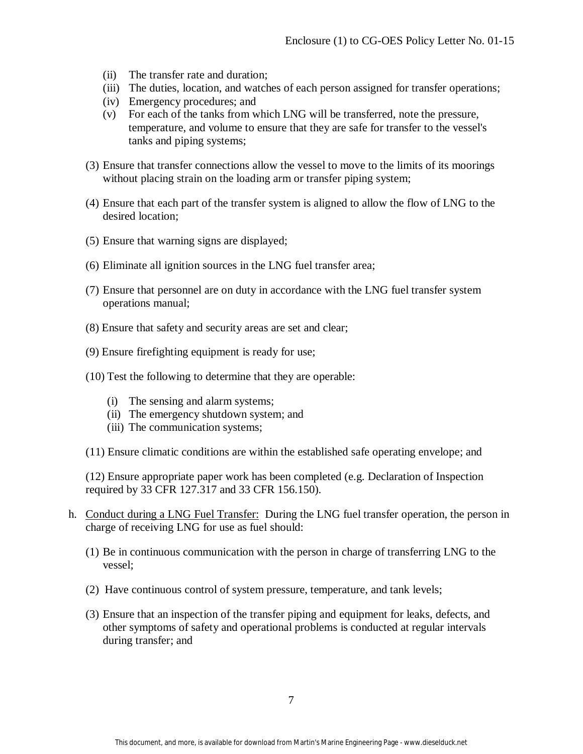- (ii) The transfer rate and duration;
- (iii) The duties, location, and watches of each person assigned for transfer operations;
- (iv) Emergency procedures; and
- (v) For each of the tanks from which LNG will be transferred, note the pressure, temperature, and volume to ensure that they are safe for transfer to the vessel's tanks and piping systems;
- (3) Ensure that transfer connections allow the vessel to move to the limits of its moorings without placing strain on the loading arm or transfer piping system;
- (4) Ensure that each part of the transfer system is aligned to allow the flow of LNG to the desired location;
- (5) Ensure that warning signs are displayed;
- (6) Eliminate all ignition sources in the LNG fuel transfer area;
- (7) Ensure that personnel are on duty in accordance with the LNG fuel transfer system operations manual;
- (8) Ensure that safety and security areas are set and clear;
- (9) Ensure firefighting equipment is ready for use;
- (10) Test the following to determine that they are operable:
	- (i) The sensing and alarm systems;
	- (ii) The emergency shutdown system; and
	- (iii) The communication systems;
- (11) Ensure climatic conditions are within the established safe operating envelope; and

(12) Ensure appropriate paper work has been completed (e.g. Declaration of Inspection required by 33 CFR 127.317 and 33 CFR 156.150).

- h. Conduct during a LNG Fuel Transfer: During the LNG fuel transfer operation, the person in charge of receiving LNG for use as fuel should:
	- (1) Be in continuous communication with the person in charge of transferring LNG to the vessel;
	- (2) Have continuous control of system pressure, temperature, and tank levels;
	- (3) Ensure that an inspection of the transfer piping and equipment for leaks, defects, and other symptoms of safety and operational problems is conducted at regular intervals during transfer; and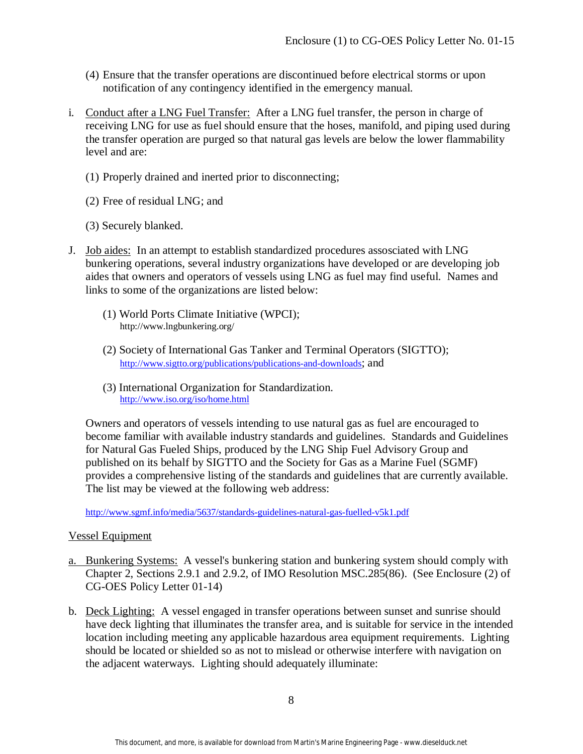- (4) Ensure that the transfer operations are discontinued before electrical storms or upon notification of any contingency identified in the emergency manual.
- i. Conduct after a LNG Fuel Transfer: After a LNG fuel transfer, the person in charge of receiving LNG for use as fuel should ensure that the hoses, manifold, and piping used during the transfer operation are purged so that natural gas levels are below the lower flammability level and are:
	- (1) Properly drained and inerted prior to disconnecting;
	- (2) Free of residual LNG; and
	- (3) Securely blanked.
- J. Job aides: In an attempt to establish standardized procedures assosciated with LNG bunkering operations, several industry organizations have developed or are developing job aides that owners and operators of vessels using LNG as fuel may find useful. Names and links to some of the organizations are listed below:
	- (1) World Ports Climate Initiative (WPCI); http://www.lngbunkering.org/
	- (2) Society of International Gas Tanker and Terminal Operators (SIGTTO); [http://www.sigtto.org/publications/publications-and-downloads;](http://www.sigtto.org/publications/publications-and-downloads) and
	- (3) International Organization for Standardization. <http://www.iso.org/iso/home.html>

Owners and operators of vessels intending to use natural gas as fuel are encouraged to become familiar with available industry standards and guidelines. Standards and Guidelines for Natural Gas Fueled Ships, produced by the LNG Ship Fuel Advisory Group and published on its behalf by SIGTTO and the Society for Gas as a Marine Fuel (SGMF) provides a comprehensive listing of the standards and guidelines that are currently available. The list may be viewed at the following web address:

<http://www.sgmf.info/media/5637/standards-guidelines-natural-gas-fuelled-v5k1.pdf>

#### Vessel Equipment

- a. Bunkering Systems: A vessel's bunkering station and bunkering system should comply with Chapter 2, Sections 2.9.1 and 2.9.2, of IMO Resolution MSC.285(86). (See Enclosure (2) of CG-OES Policy Letter 01-14)
- b. Deck Lighting: A vessel engaged in transfer operations between sunset and sunrise should have deck lighting that illuminates the transfer area, and is suitable for service in the intended location including meeting any applicable hazardous area equipment requirements. Lighting should be located or shielded so as not to mislead or otherwise interfere with navigation on the adjacent waterways. Lighting should adequately illuminate: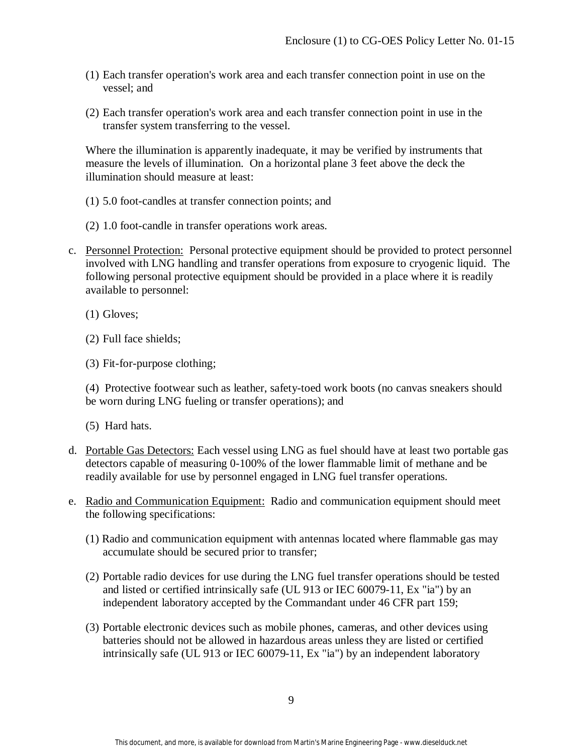- (1) Each transfer operation's work area and each transfer connection point in use on the vessel; and
- (2) Each transfer operation's work area and each transfer connection point in use in the transfer system transferring to the vessel.

Where the illumination is apparently inadequate, it may be verified by instruments that measure the levels of illumination. On a horizontal plane 3 feet above the deck the illumination should measure at least:

- (1) 5.0 foot-candles at transfer connection points; and
- (2) 1.0 foot-candle in transfer operations work areas.
- c. Personnel Protection: Personal protective equipment should be provided to protect personnel involved with LNG handling and transfer operations from exposure to cryogenic liquid. The following personal protective equipment should be provided in a place where it is readily available to personnel:

(1) Gloves;

(2) Full face shields;

(3) Fit-for-purpose clothing;

(4) Protective footwear such as leather, safety-toed work boots (no canvas sneakers should be worn during LNG fueling or transfer operations); and

(5) Hard hats.

- d. Portable Gas Detectors: Each vessel using LNG as fuel should have at least two portable gas detectors capable of measuring 0-100% of the lower flammable limit of methane and be readily available for use by personnel engaged in LNG fuel transfer operations.
- e. Radio and Communication Equipment: Radio and communication equipment should meet the following specifications:
	- (1) Radio and communication equipment with antennas located where flammable gas may accumulate should be secured prior to transfer;
	- (2) Portable radio devices for use during the LNG fuel transfer operations should be tested and listed or certified intrinsically safe (UL 913 or IEC 60079-11, Ex "ia") by an independent laboratory accepted by the Commandant under 46 CFR part 159;
	- (3) Portable electronic devices such as mobile phones, cameras, and other devices using batteries should not be allowed in hazardous areas unless they are listed or certified intrinsically safe (UL 913 or IEC 60079-11, Ex "ia") by an independent laboratory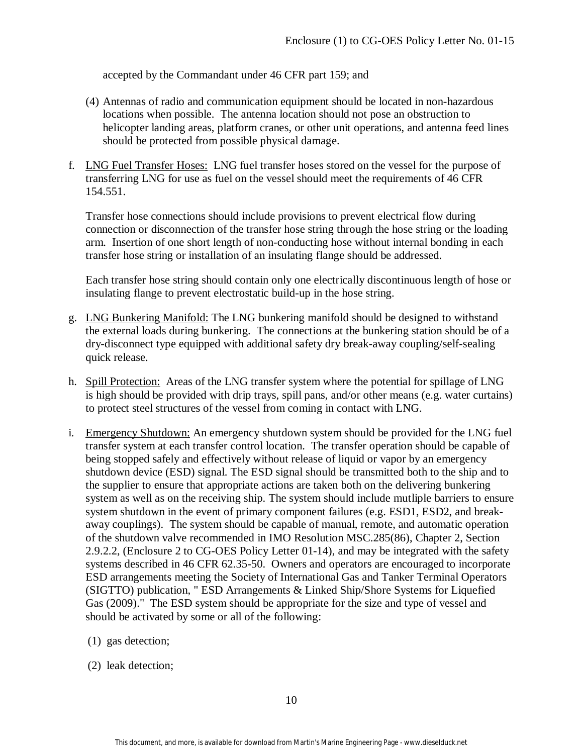accepted by the Commandant under 46 CFR part 159; and

- (4) Antennas of radio and communication equipment should be located in non-hazardous locations when possible. The antenna location should not pose an obstruction to helicopter landing areas, platform cranes, or other unit operations, and antenna feed lines should be protected from possible physical damage.
- f. LNG Fuel Transfer Hoses: LNG fuel transfer hoses stored on the vessel for the purpose of transferring LNG for use as fuel on the vessel should meet the requirements of 46 CFR 154.551.

Transfer hose connections should include provisions to prevent electrical flow during connection or disconnection of the transfer hose string through the hose string or the loading arm. Insertion of one short length of non-conducting hose without internal bonding in each transfer hose string or installation of an insulating flange should be addressed.

Each transfer hose string should contain only one electrically discontinuous length of hose or insulating flange to prevent electrostatic build-up in the hose string.

- g. LNG Bunkering Manifold: The LNG bunkering manifold should be designed to withstand the external loads during bunkering. The connections at the bunkering station should be of a dry-disconnect type equipped with additional safety dry break-away coupling/self-sealing quick release.
- h. Spill Protection: Areas of the LNG transfer system where the potential for spillage of LNG is high should be provided with drip trays, spill pans, and/or other means (e.g. water curtains) to protect steel structures of the vessel from coming in contact with LNG.
- i. Emergency Shutdown: An emergency shutdown system should be provided for the LNG fuel transfer system at each transfer control location. The transfer operation should be capable of being stopped safely and effectively without release of liquid or vapor by an emergency shutdown device (ESD) signal. The ESD signal should be transmitted both to the ship and to the supplier to ensure that appropriate actions are taken both on the delivering bunkering system as well as on the receiving ship. The system should include mutliple barriers to ensure system shutdown in the event of primary component failures (e.g. ESD1, ESD2, and breakaway couplings). The system should be capable of manual, remote, and automatic operation of the shutdown valve recommended in IMO Resolution MSC.285(86), Chapter 2, Section 2.9.2.2, (Enclosure 2 to CG-OES Policy Letter 01-14), and may be integrated with the safety systems described in 46 CFR 62.35-50. Owners and operators are encouraged to incorporate ESD arrangements meeting the Society of International Gas and Tanker Terminal Operators (SIGTTO) publication, " ESD Arrangements & Linked Ship/Shore Systems for Liquefied Gas (2009)." The ESD system should be appropriate for the size and type of vessel and should be activated by some or all of the following:
	- (1) gas detection;
	- (2) leak detection;

10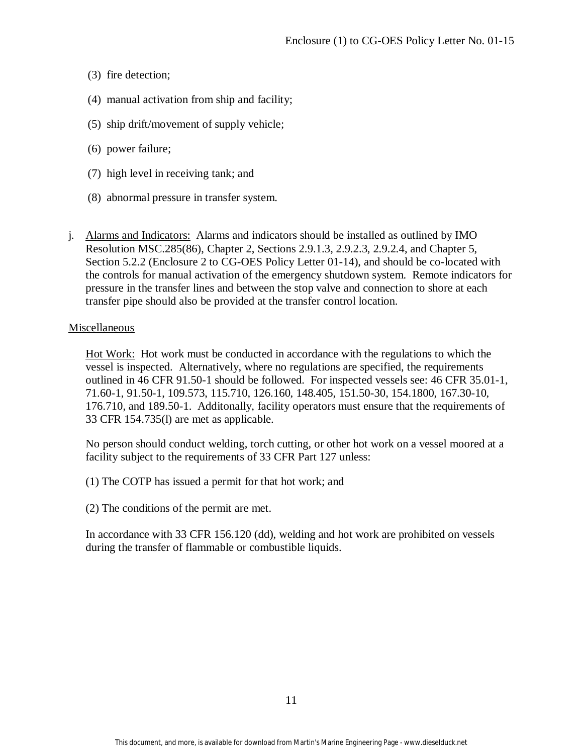- (3) fire detection;
- (4) manual activation from ship and facility;
- (5) ship drift/movement of supply vehicle;
- (6) power failure;
- (7) high level in receiving tank; and
- (8) abnormal pressure in transfer system.
- j. Alarms and Indicators: Alarms and indicators should be installed as outlined by IMO Resolution MSC.285(86), Chapter 2, Sections 2.9.1.3, 2.9.2.3, 2.9.2.4, and Chapter 5, Section 5.2.2 (Enclosure 2 to CG-OES Policy Letter 01-14), and should be co-located with the controls for manual activation of the emergency shutdown system. Remote indicators for pressure in the transfer lines and between the stop valve and connection to shore at each transfer pipe should also be provided at the transfer control location.

#### Miscellaneous

Hot Work: Hot work must be conducted in accordance with the regulations to which the vessel is inspected. Alternatively, where no regulations are specified, the requirements outlined in 46 CFR 91.50-1 should be followed. For inspected vessels see: 46 CFR 35.01-1, 71.60-1, 91.50-1, 109.573, 115.710, 126.160, 148.405, 151.50-30, 154.1800, 167.30-10, 176.710, and 189.50-1. Additonally, facility operators must ensure that the requirements of 33 CFR 154.735(l) are met as applicable.

No person should conduct welding, torch cutting, or other hot work on a vessel moored at a facility subject to the requirements of 33 CFR Part 127 unless:

- (1) The COTP has issued a permit for that hot work; and
- (2) The conditions of the permit are met.

In accordance with 33 CFR 156.120 (dd), welding and hot work are prohibited on vessels during the transfer of flammable or combustible liquids.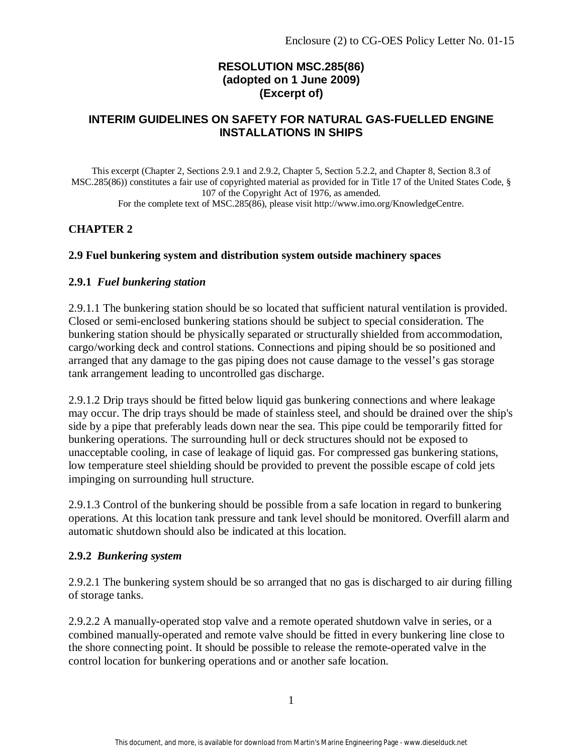## **RESOLUTION MSC.285(86) (adopted on 1 June 2009) (Excerpt of)**

### **INTERIM GUIDELINES ON SAFETY FOR NATURAL GAS-FUELLED ENGINE INSTALLATIONS IN SHIPS**

This excerpt (Chapter 2, Sections 2.9.1 and 2.9.2, Chapter 5, Section 5.2.2, and Chapter 8, Section 8.3 of MSC.285(86)) constitutes a fair use of copyrighted material as provided for in Title 17 of the United States Code, § 107 of the Copyright Act of 1976, as amended. For the complete text of MSC.285(86), please visit http://www.imo.org/KnowledgeCentre.

## **CHAPTER 2**

### **2.9 Fuel bunkering system and distribution system outside machinery spaces**

#### **2.9.1** *Fuel bunkering station*

2.9.1.1 The bunkering station should be so located that sufficient natural ventilation is provided. Closed or semi-enclosed bunkering stations should be subject to special consideration. The bunkering station should be physically separated or structurally shielded from accommodation, cargo/working deck and control stations. Connections and piping should be so positioned and arranged that any damage to the gas piping does not cause damage to the vessel's gas storage tank arrangement leading to uncontrolled gas discharge.

2.9.1.2 Drip trays should be fitted below liquid gas bunkering connections and where leakage may occur. The drip trays should be made of stainless steel, and should be drained over the ship's side by a pipe that preferably leads down near the sea. This pipe could be temporarily fitted for bunkering operations. The surrounding hull or deck structures should not be exposed to unacceptable cooling, in case of leakage of liquid gas. For compressed gas bunkering stations, low temperature steel shielding should be provided to prevent the possible escape of cold jets impinging on surrounding hull structure.

2.9.1.3 Control of the bunkering should be possible from a safe location in regard to bunkering operations. At this location tank pressure and tank level should be monitored. Overfill alarm and automatic shutdown should also be indicated at this location.

#### **2.9.2** *Bunkering system*

2.9.2.1 The bunkering system should be so arranged that no gas is discharged to air during filling of storage tanks.

2.9.2.2 A manually-operated stop valve and a remote operated shutdown valve in series, or a combined manually-operated and remote valve should be fitted in every bunkering line close to the shore connecting point. It should be possible to release the remote-operated valve in the control location for bunkering operations and or another safe location.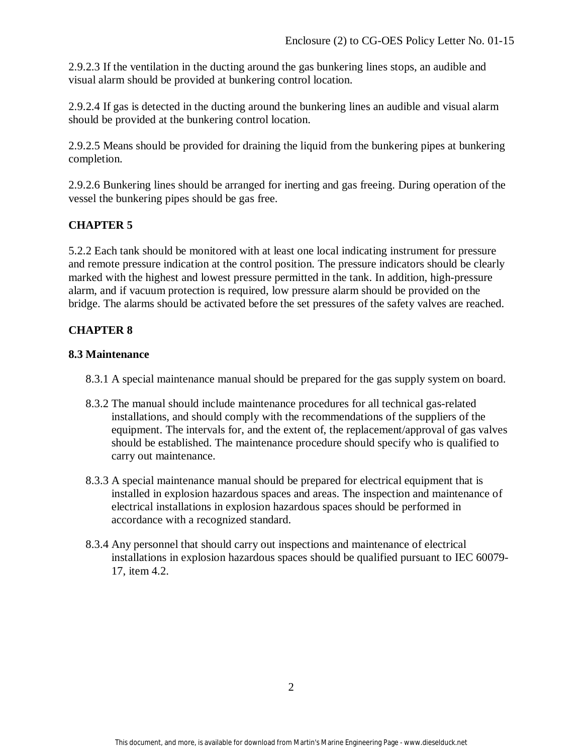2.9.2.3 If the ventilation in the ducting around the gas bunkering lines stops, an audible and visual alarm should be provided at bunkering control location.

2.9.2.4 If gas is detected in the ducting around the bunkering lines an audible and visual alarm should be provided at the bunkering control location.

2.9.2.5 Means should be provided for draining the liquid from the bunkering pipes at bunkering completion.

2.9.2.6 Bunkering lines should be arranged for inerting and gas freeing. During operation of the vessel the bunkering pipes should be gas free.

## **CHAPTER 5**

5.2.2 Each tank should be monitored with at least one local indicating instrument for pressure and remote pressure indication at the control position. The pressure indicators should be clearly marked with the highest and lowest pressure permitted in the tank. In addition, high-pressure alarm, and if vacuum protection is required, low pressure alarm should be provided on the bridge. The alarms should be activated before the set pressures of the safety valves are reached.

## **CHAPTER 8**

### **8.3 Maintenance**

- 8.3.1 A special maintenance manual should be prepared for the gas supply system on board.
- 8.3.2 The manual should include maintenance procedures for all technical gas-related installations, and should comply with the recommendations of the suppliers of the equipment. The intervals for, and the extent of, the replacement/approval of gas valves should be established. The maintenance procedure should specify who is qualified to carry out maintenance.
- 8.3.3 A special maintenance manual should be prepared for electrical equipment that is installed in explosion hazardous spaces and areas. The inspection and maintenance of electrical installations in explosion hazardous spaces should be performed in accordance with a recognized standard.
- 8.3.4 Any personnel that should carry out inspections and maintenance of electrical installations in explosion hazardous spaces should be qualified pursuant to IEC 60079- 17, item 4.2.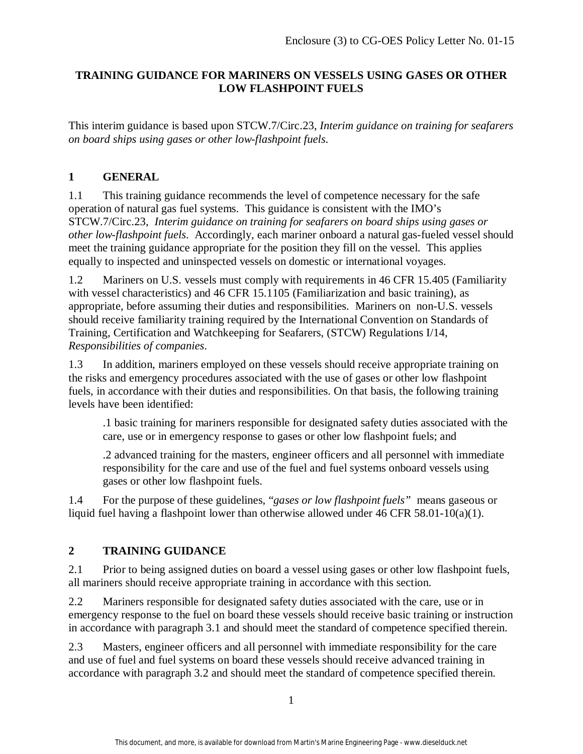## **TRAINING GUIDANCE FOR MARINERS ON VESSELS USING GASES OR OTHER LOW FLASHPOINT FUELS**

This interim guidance is based upon STCW.7/Circ.23, *Interim guidance on training for seafarers on board ships using gases or other low-flashpoint fuels*.

# **1 GENERAL**

1.1 This training guidance recommends the level of competence necessary for the safe operation of natural gas fuel systems. This guidance is consistent with the IMO's STCW.7/Circ.23, *Interim guidance on training for seafarers on board ships using gases or other low-flashpoint fuels*. Accordingly, each mariner onboard a natural gas-fueled vessel should meet the training guidance appropriate for the position they fill on the vessel. This applies equally to inspected and uninspected vessels on domestic or international voyages.

1.2 Mariners on U.S. vessels must comply with requirements in 46 CFR 15.405 (Familiarity with vessel characteristics) and 46 CFR 15.1105 (Familiarization and basic training), as appropriate, before assuming their duties and responsibilities. Mariners on non-U.S. vessels should receive familiarity training required by the International Convention on Standards of Training, Certification and Watchkeeping for Seafarers, (STCW) Regulations I/14, *Responsibilities of companies*.

1.3 In addition, mariners employed on these vessels should receive appropriate training on the risks and emergency procedures associated with the use of gases or other low flashpoint fuels, in accordance with their duties and responsibilities. On that basis, the following training levels have been identified:

.1 basic training for mariners responsible for designated safety duties associated with the care, use or in emergency response to gases or other low flashpoint fuels; and

.2 advanced training for the masters, engineer officers and all personnel with immediate responsibility for the care and use of the fuel and fuel systems onboard vessels using gases or other low flashpoint fuels.

1.4 For the purpose of these guidelines, "*gases or low flashpoint fuels"* means gaseous or liquid fuel having a flashpoint lower than otherwise allowed under 46 CFR 58.01-10(a)(1).

# **2 TRAINING GUIDANCE**

2.1 Prior to being assigned duties on board a vessel using gases or other low flashpoint fuels, all mariners should receive appropriate training in accordance with this section.

2.2 Mariners responsible for designated safety duties associated with the care, use or in emergency response to the fuel on board these vessels should receive basic training or instruction in accordance with paragraph 3.1 and should meet the standard of competence specified therein.

2.3 Masters, engineer officers and all personnel with immediate responsibility for the care and use of fuel and fuel systems on board these vessels should receive advanced training in accordance with paragraph 3.2 and should meet the standard of competence specified therein.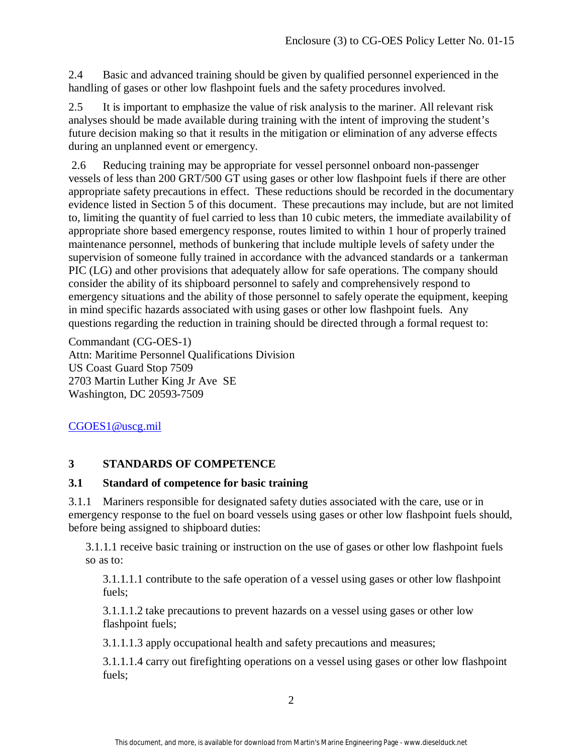2.4 Basic and advanced training should be given by qualified personnel experienced in the handling of gases or other low flashpoint fuels and the safety procedures involved.

2.5 It is important to emphasize the value of risk analysis to the mariner. All relevant risk analyses should be made available during training with the intent of improving the student's future decision making so that it results in the mitigation or elimination of any adverse effects during an unplanned event or emergency.

2.6 Reducing training may be appropriate for vessel personnel onboard non-passenger vessels of less than 200 GRT/500 GT using gases or other low flashpoint fuels if there are other appropriate safety precautions in effect. These reductions should be recorded in the documentary evidence listed in Section 5 of this document. These precautions may include, but are not limited to, limiting the quantity of fuel carried to less than 10 cubic meters, the immediate availability of appropriate shore based emergency response, routes limited to within 1 hour of properly trained maintenance personnel, methods of bunkering that include multiple levels of safety under the supervision of someone fully trained in accordance with the advanced standards or a tankerman PIC (LG) and other provisions that adequately allow for safe operations. The company should consider the ability of its shipboard personnel to safely and comprehensively respond to emergency situations and the ability of those personnel to safely operate the equipment, keeping in mind specific hazards associated with using gases or other low flashpoint fuels. Any questions regarding the reduction in training should be directed through a formal request to:

Commandant (CG-OES-1) Attn: Maritime Personnel Qualifications Division US Coast Guard Stop 7509 2703 Martin Luther King Jr Ave SE Washington, DC 20593-7509

# CGOES1@uscg.mil

# **3 STANDARDS OF COMPETENCE**

### **3.1 Standard of competence for basic training**

3.1.1 Mariners responsible for designated safety duties associated with the care, use or in emergency response to the fuel on board vessels using gases or other low flashpoint fuels should, before being assigned to shipboard duties:

3.1.1.1 receive basic training or instruction on the use of gases or other low flashpoint fuels so as to:

3.1.1.1.1 contribute to the safe operation of a vessel using gases or other low flashpoint fuels;

3.1.1.1.2 take precautions to prevent hazards on a vessel using gases or other low flashpoint fuels;

3.1.1.1.3 apply occupational health and safety precautions and measures;

3.1.1.1.4 carry out firefighting operations on a vessel using gases or other low flashpoint fuels;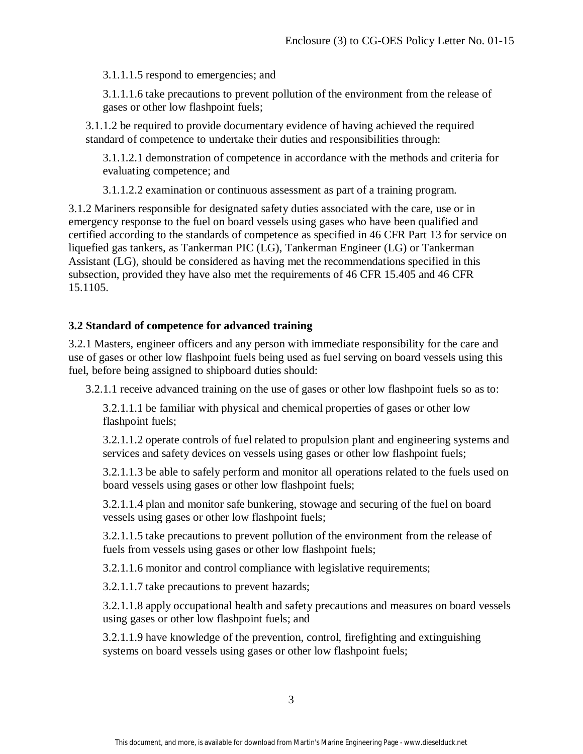3.1.1.1.5 respond to emergencies; and

3.1.1.1.6 take precautions to prevent pollution of the environment from the release of gases or other low flashpoint fuels;

3.1.1.2 be required to provide documentary evidence of having achieved the required standard of competence to undertake their duties and responsibilities through:

3.1.1.2.1 demonstration of competence in accordance with the methods and criteria for evaluating competence; and

3.1.1.2.2 examination or continuous assessment as part of a training program.

3.1.2 Mariners responsible for designated safety duties associated with the care, use or in emergency response to the fuel on board vessels using gases who have been qualified and certified according to the standards of competence as specified in 46 CFR Part 13 for service on liquefied gas tankers, as Tankerman PIC (LG), Tankerman Engineer (LG) or Tankerman Assistant (LG), should be considered as having met the recommendations specified in this subsection, provided they have also met the requirements of 46 CFR 15.405 and 46 CFR 15.1105.

## **3.2 Standard of competence for advanced training**

3.2.1 Masters, engineer officers and any person with immediate responsibility for the care and use of gases or other low flashpoint fuels being used as fuel serving on board vessels using this fuel, before being assigned to shipboard duties should:

3.2.1.1 receive advanced training on the use of gases or other low flashpoint fuels so as to:

3.2.1.1.1 be familiar with physical and chemical properties of gases or other low flashpoint fuels;

3.2.1.1.2 operate controls of fuel related to propulsion plant and engineering systems and services and safety devices on vessels using gases or other low flashpoint fuels;

3.2.1.1.3 be able to safely perform and monitor all operations related to the fuels used on board vessels using gases or other low flashpoint fuels;

3.2.1.1.4 plan and monitor safe bunkering, stowage and securing of the fuel on board vessels using gases or other low flashpoint fuels;

3.2.1.1.5 take precautions to prevent pollution of the environment from the release of fuels from vessels using gases or other low flashpoint fuels;

3.2.1.1.6 monitor and control compliance with legislative requirements;

3.2.1.1.7 take precautions to prevent hazards;

3.2.1.1.8 apply occupational health and safety precautions and measures on board vessels using gases or other low flashpoint fuels; and

3.2.1.1.9 have knowledge of the prevention, control, firefighting and extinguishing systems on board vessels using gases or other low flashpoint fuels;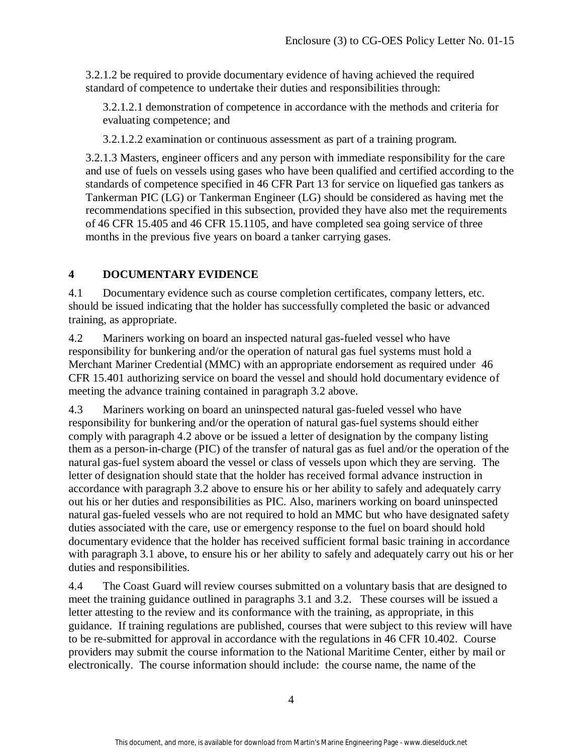3.2.1.2 be required to provide documentary evidence of having achieved the required standard of competence to undertake their duties and responsibilities through:

3.2.1.2.1 demonstration of competence in accordance with the methods and criteria for evaluating competence; and

3.2.1.2.2 examination or continuous assessment as part of a training program.

3.2.1.3 Masters, engineer officers and any person with immediate responsibility for the care and use of fuels on vessels using gases who have been qualified and certified according to the standards of competence specified in 46 CFR Part 13 for service on liquefied gas tankers as Tankerman PIC (LG) or Tankerman Engineer (LG) should be considered as having met the recommendations specified in this subsection, provided they have also met the requirements of 46 CFR 15.405 and 46 CFR 15.1105, and have completed sea going service of three months in the previous five years on board a tanker carrying gases.

# **4 DOCUMENTARY EVIDENCE**

4.1 Documentary evidence such as course completion certificates, company letters, etc. should be issued indicating that the holder has successfully completed the basic or advanced training, as appropriate.

4.2 Mariners working on board an inspected natural gas-fueled vessel who have responsibility for bunkering and/or the operation of natural gas fuel systems must hold a Merchant Mariner Credential (MMC) with an appropriate endorsement as required under 46 CFR 15.401 authorizing service on board the vessel and should hold documentary evidence of meeting the advance training contained in paragraph 3.2 above.

4.3 Mariners working on board an uninspected natural gas-fueled vessel who have responsibility for bunkering and/or the operation of natural gas-fuel systems should either comply with paragraph 4.2 above or be issued a letter of designation by the company listing them as a person-in-charge (PIC) of the transfer of natural gas as fuel and/or the operation of the natural gas-fuel system aboard the vessel or class of vessels upon which they are serving. The letter of designation should state that the holder has received formal advance instruction in accordance with paragraph 3.2 above to ensure his or her ability to safely and adequately carry out his or her duties and responsibilities as PIC. Also, mariners working on board uninspected natural gas-fueled vessels who are not required to hold an MMC but who have designated safety duties associated with the care, use or emergency response to the fuel on board should hold documentary evidence that the holder has received sufficient formal basic training in accordance with paragraph 3.1 above, to ensure his or her ability to safely and adequately carry out his or her duties and responsibilities.

4.4 The Coast Guard will review courses submitted on a voluntary basis that are designed to meet the training guidance outlined in paragraphs 3.1 and 3.2. These courses will be issued a letter attesting to the review and its conformance with the training, as appropriate, in this guidance. If training regulations are published, courses that were subject to this review will have to be re-submitted for approval in accordance with the regulations in 46 CFR 10.402. Course providers may submit the course information to the National Maritime Center, either by mail or electronically. The course information should include: the course name, the name of the